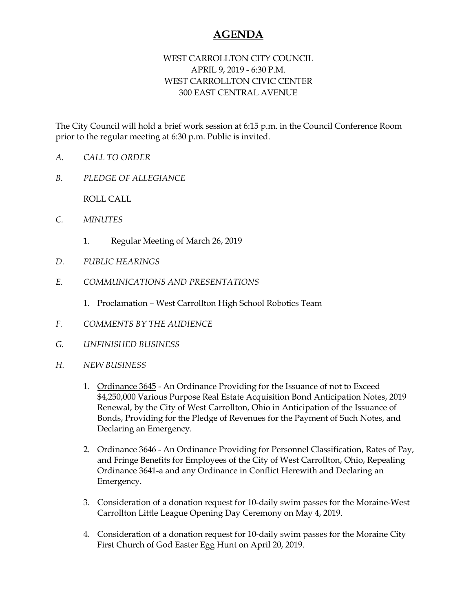## **AGENDA**

## WEST CARROLLTON CITY COUNCIL APRIL 9, 2019 - 6:30 P.M. WEST CARROLLTON CIVIC CENTER 300 EAST CENTRAL AVENUE

The City Council will hold a brief work session at 6:15 p.m. in the Council Conference Room prior to the regular meeting at 6:30 p.m. Public is invited.

- *A. CALL TO ORDER*
- *B. PLEDGE OF ALLEGIANCE*

ROLL CALL

- *C. MINUTES* 
	- 1. Regular Meeting of March 26, 2019
- *D. PUBLIC HEARINGS*
- *E. COMMUNICATIONS AND PRESENTATIONS* 
	- 1. Proclamation West Carrollton High School Robotics Team
- *F. COMMENTS BY THE AUDIENCE*
- *G. UNFINISHED BUSINESS*
- *H. NEW BUSINESS* 
	- 1. Ordinance 3645 An Ordinance Providing for the Issuance of not to Exceed \$4,250,000 Various Purpose Real Estate Acquisition Bond Anticipation Notes, 2019 Renewal, by the City of West Carrollton, Ohio in Anticipation of the Issuance of Bonds, Providing for the Pledge of Revenues for the Payment of Such Notes, and Declaring an Emergency.
	- 2. Ordinance 3646 An Ordinance Providing for Personnel Classification, Rates of Pay, and Fringe Benefits for Employees of the City of West Carrollton, Ohio, Repealing Ordinance 3641-a and any Ordinance in Conflict Herewith and Declaring an Emergency.
	- 3. Consideration of a donation request for 10-daily swim passes for the Moraine-West Carrollton Little League Opening Day Ceremony on May 4, 2019.
	- 4. Consideration of a donation request for 10-daily swim passes for the Moraine City First Church of God Easter Egg Hunt on April 20, 2019.